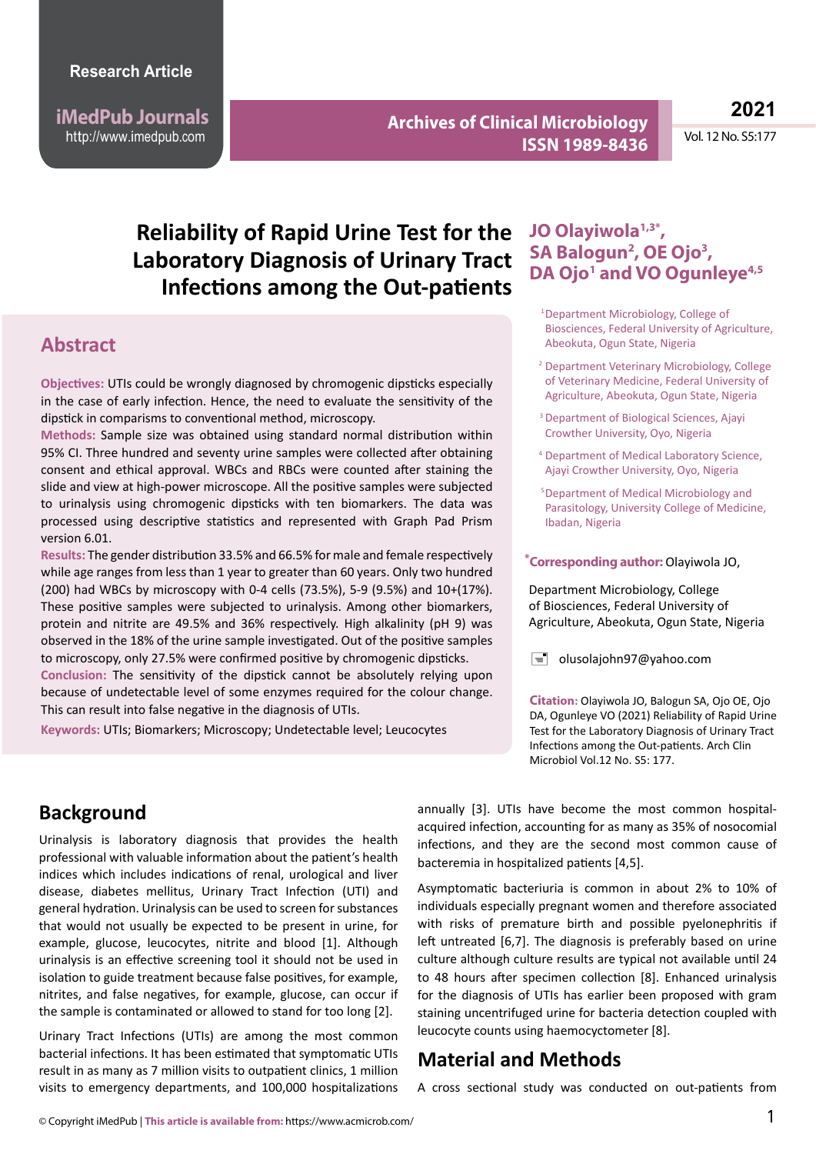**iMedPub Journals** http://www.imedpub.com

**Archives of Clinical Microbiology ISSN 1989-8436**

**2021**

Vol. 12 No. S5:177

# **Reliability of Rapid Urine Test for the Laboratory Diagnosis of Urinary Tract Infections among the Out-patients**

### **Abstract**

**Objectives:** UTIs could be wrongly diagnosed by chromogenic dipsticks especially in the case of early infection. Hence, the need to evaluate the sensitivity of the dipstick in comparisms to conventional method, microscopy.

**Methods:** Sample size was obtained using standard normal distribution within 95% CI. Three hundred and seventy urine samples were collected after obtaining consent and ethical approval. WBCs and RBCs were counted after staining the slide and view at high-power microscope. All the positive samples were subjected to urinalysis using chromogenic dipsticks with ten biomarkers. The data was processed using descriptive statistics and represented with Graph Pad Prism version 6.01.

**Reflective Conclusion:** The sensitivity of the dipstick cannot be absolutely relying upon **Results:** The gender distribution 33.5% and 66.5% for male and female respectively while age ranges from less than 1 year to greater than 60 years. Only two hundred (200) had WBCs by microscopy with 0-4 cells (73.5%), 5-9 (9.5%) and 10+(17%). These positive samples were subjected to urinalysis. Among other biomarkers, protein and nitrite are 49.5% and 36% respectively. High alkalinity (pH 9) was observed in the 18% of the urine sample investigated. Out of the positive samples to microscopy, only 27.5% were confirmed positive by chromogenic dipsticks.

because of undetectable level of some enzymes required for the colour change. This can result into false negative in the diagnosis of UTIs.

**Keywords:** UTIs; Biomarkers; Microscopy; Undetectable level; Leucocytes

### **JO Olayiwola1,3\*, SA Balogun2 , OE Ojo3 ,**  DA Ojo<sup>1</sup> and VO Ogunleye<sup>4,5</sup>

- <sup>1</sup>Department Microbiology, College of Biosciences, Federal University of Agriculture, Abeokuta, Ogun State, Nigeria
- <sup>2</sup> Department Veterinary Microbiology, College of Veterinary Medicine, Federal University of Agriculture, Abeokuta, Ogun State, Nigeria
- <sup>3</sup> Department of Biological Sciences, Ajayi Crowther University, Oyo, Nigeria
- <sup>4</sup> Department of Medical Laboratory Science, Ajayi Crowther University, Oyo, Nigeria
- <sup>5</sup>Department of Medical Microbiology and Parasitology, University College of Medicine, Ibadan, Nigeria

#### **Corresponding author:** Olayiwola JO, **\***

Department Microbiology, College of Biosciences, Federal University of Agriculture, Abeokuta, Ogun State, Nigeria

 $\equiv$  olusolajohn97@yahoo.com

**Citation:** Olayiwola JO, Balogun SA, Ojo OE, Ojo DA, Ogunleye VO (2021) Reliability of Rapid Urine Test for the Laboratory Diagnosis of Urinary Tract Infections among the Out-patients. Arch Clin Microbiol Vol.12 No. S5: 177

## **Background**

Urinalysis is laboratory diagnosis that provides the health professional with valuable information about the patient's health indices which includes indications of renal, urological and liver disease, diabetes mellitus, Urinary Tract Infection (UTI) and general hydration. Urinalysis can be used to screen for substances that would not usually be expected to be present in urine, for example, glucose, leucocytes, nitrite and blood [1]. Although urinalysis is an effective screening tool it should not be used in isolation to guide treatment because false positives, for example, nitrites, and false negatives, for example, glucose, can occur if the sample is contaminated or allowed to stand for too long [2].

Urinary Tract Infections (UTIs) are among the most common bacterial infections. It has been estimated that symptomatic UTIs result in as many as 7 million visits to outpatient clinics, 1 million visits to emergency departments, and 100,000 hospitalizations annually [3]. UTIs have become the most common hospitalacquired infection, accounting for as many as 35% of nosocomial infections, and they are the second most common cause of bacteremia in hospitalized patients [4,5].

Asymptomatic bacteriuria is common in about 2% to 10% of individuals especially pregnant women and therefore associated with risks of premature birth and possible pyelonephritis if left untreated [6,7]. The diagnosis is preferably based on urine culture although culture results are typical not available until 24 to 48 hours after specimen collection [8]. Enhanced urinalysis for the diagnosis of UTIs has earlier been proposed with gram staining uncentrifuged urine for bacteria detection coupled with leucocyte counts using haemocyctometer [8].

### **Material and Methods**

A cross sectional study was conducted on out-patients from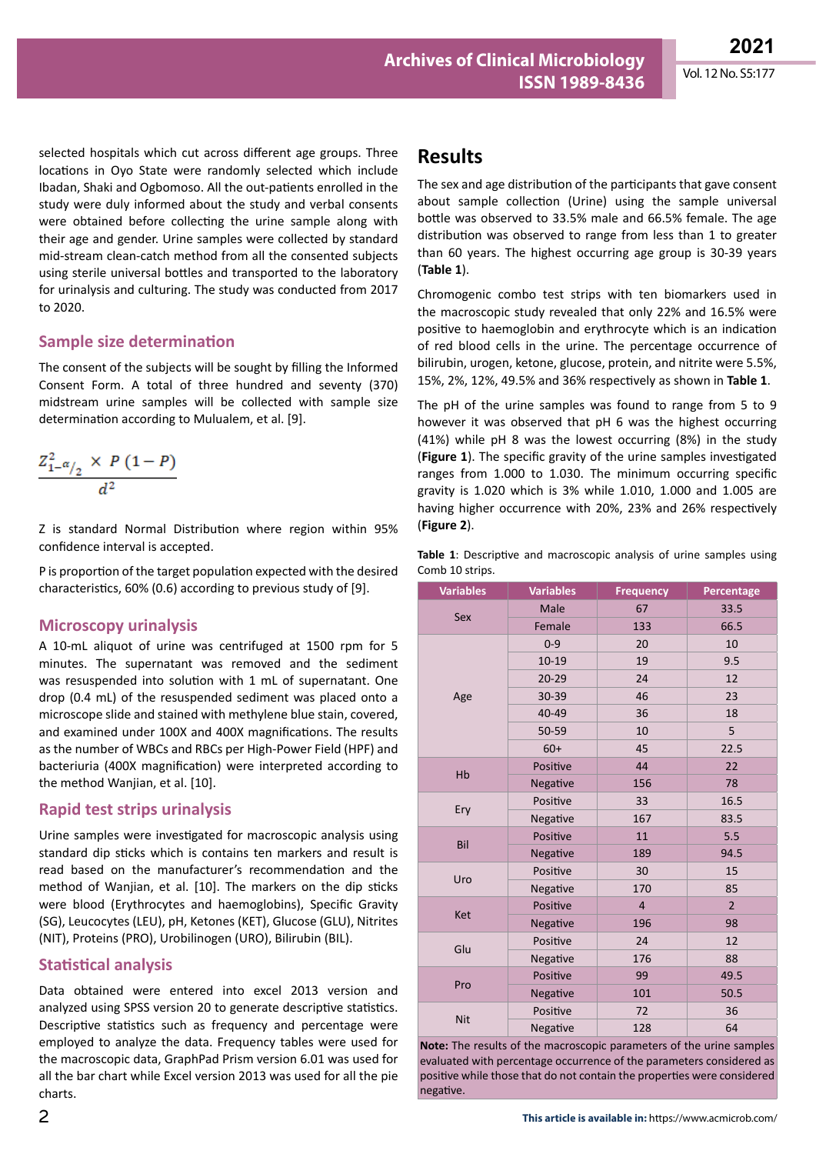selected hospitals which cut across different age groups. Three locations in Oyo State were randomly selected which include Ibadan, Shaki and Ogbomoso. All the out-patients enrolled in the study were duly informed about the study and verbal consents were obtained before collecting the urine sample along with their age and gender. Urine samples were collected by standard mid-stream clean-catch method from all the consented subjects using sterile universal bottles and transported to the laboratory for urinalysis and culturing. The study was conducted from 2017 to 2020.

#### **Sample size determination**

The consent of the subjects will be sought by filling the Informed Consent Form. A total of three hundred and seventy (370) midstream urine samples will be collected with sample size determination according to Mulualem, et al. [9].

$$
\frac{Z_{1-\alpha/2}^2 \times P(1-P)}{d^2}
$$

Z is standard Normal Distribution where region within 95% confidence interval is accepted.

P is proportion of the target population expected with the desired characteristics, 60% (0.6) according to previous study of [9].

#### **Microscopy urinalysis**

A 10-mL aliquot of urine was centrifuged at 1500 rpm for 5 minutes. The supernatant was removed and the sediment was resuspended into solution with 1 mL of supernatant. One drop (0.4 mL) of the resuspended sediment was placed onto a microscope slide and stained with methylene blue stain, covered, and examined under 100X and 400X magnifications. The results as the number of WBCs and RBCs per High-Power Field (HPF) and bacteriuria (400X magnification) were interpreted according to the method Wanjian, et al. [10].

#### **Rapid test strips urinalysis**

Urine samples were investigated for macroscopic analysis using standard dip sticks which is contains ten markers and result is read based on the manufacturer's recommendation and the method of Wanjian, et al. [10]. The markers on the dip sticks were blood (Erythrocytes and haemoglobins), Specific Gravity (SG), Leucocytes (LEU), pH, Ketones (KET), Glucose (GLU), Nitrites (NIT), Proteins (PRO), Urobilinogen (URO), Bilirubin (BIL).

#### **Statistical analysis**

Data obtained were entered into excel 2013 version and analyzed using SPSS version 20 to generate descriptive statistics. Descriptive statistics such as frequency and percentage were employed to analyze the data. Frequency tables were used for the macroscopic data, GraphPad Prism version 6.01 was used for all the bar chart while Excel version 2013 was used for all the pie charts.

### **Results**

The sex and age distribution of the participants that gave consent about sample collection (Urine) using the sample universal bottle was observed to 33.5% male and 66.5% female. The age distribution was observed to range from less than 1 to greater than 60 years. The highest occurring age group is 30-39 years (**Table 1**).

Chromogenic combo test strips with ten biomarkers used in the macroscopic study revealed that only 22% and 16.5% were positive to haemoglobin and erythrocyte which is an indication of red blood cells in the urine. The percentage occurrence of bilirubin, urogen, ketone, glucose, protein, and nitrite were 5.5%, 15%, 2%, 12%, 49.5% and 36% respectively as shown in **Table 1**.

The pH of the urine samples was found to range from 5 to 9 however it was observed that pH 6 was the highest occurring (41%) while pH 8 was the lowest occurring (8%) in the study (**Figure 1**). The specific gravity of the urine samples investigated ranges from 1.000 to 1.030. The minimum occurring specific gravity is 1.020 which is 3% while 1.010, 1.000 and 1.005 are having higher occurrence with 20%, 23% and 26% respectively (**Figure 2**).

|  |                 | <b>Table 1</b> : Descriptive and macroscopic analysis of urine samples using |  |  |  |
|--|-----------------|------------------------------------------------------------------------------|--|--|--|
|  | Comb 10 strips. |                                                                              |  |  |  |

| <b>Variables</b> | <b>Variables</b> | <b>Frequency</b> | Percentage     |  |
|------------------|------------------|------------------|----------------|--|
|                  | Male             | 67               | 33.5           |  |
| Sex              | Female           | 133              | 66.5           |  |
|                  | $0 - 9$          | 20               | 10             |  |
|                  | 10-19            | 19               | 9.5            |  |
|                  | $20 - 29$        | 24               | 12             |  |
| Age              | 30-39            | 46               | 23             |  |
|                  | 40-49            | 36               | 18             |  |
|                  | 50-59            | 10               | 5              |  |
|                  | $60+$            | 45               | 22.5           |  |
| Hb               | Positive         | 44               | 22             |  |
|                  | Negative         | 156              | 78             |  |
|                  | Positive         | 33               | 16.5           |  |
| Ery              | Negative         | 167              | 83.5           |  |
| Bil              | Positive         | 11               | 5.5            |  |
|                  | Negative         | 189              | 94.5           |  |
| Uro              | Positive         | 30               | 15             |  |
|                  | Negative         | 170              | 85             |  |
| Ket              | Positive         | $\overline{4}$   | $\overline{2}$ |  |
|                  | Negative         | 196              | 98             |  |
|                  | Positive         | 24               | 12             |  |
| Glu              | Negative         | 176              | 88             |  |
| Pro              | Positive         | 99               | 49.5           |  |
|                  | Negative         | 101              | 50.5           |  |
|                  | Positive         | 72               | 36             |  |
| <b>Nit</b>       | Negative         | 128              | 64             |  |

**Note:** The results of the macroscopic parameters of the urine samples evaluated with percentage occurrence of the parameters considered as positive while those that do not contain the properties were considered negative.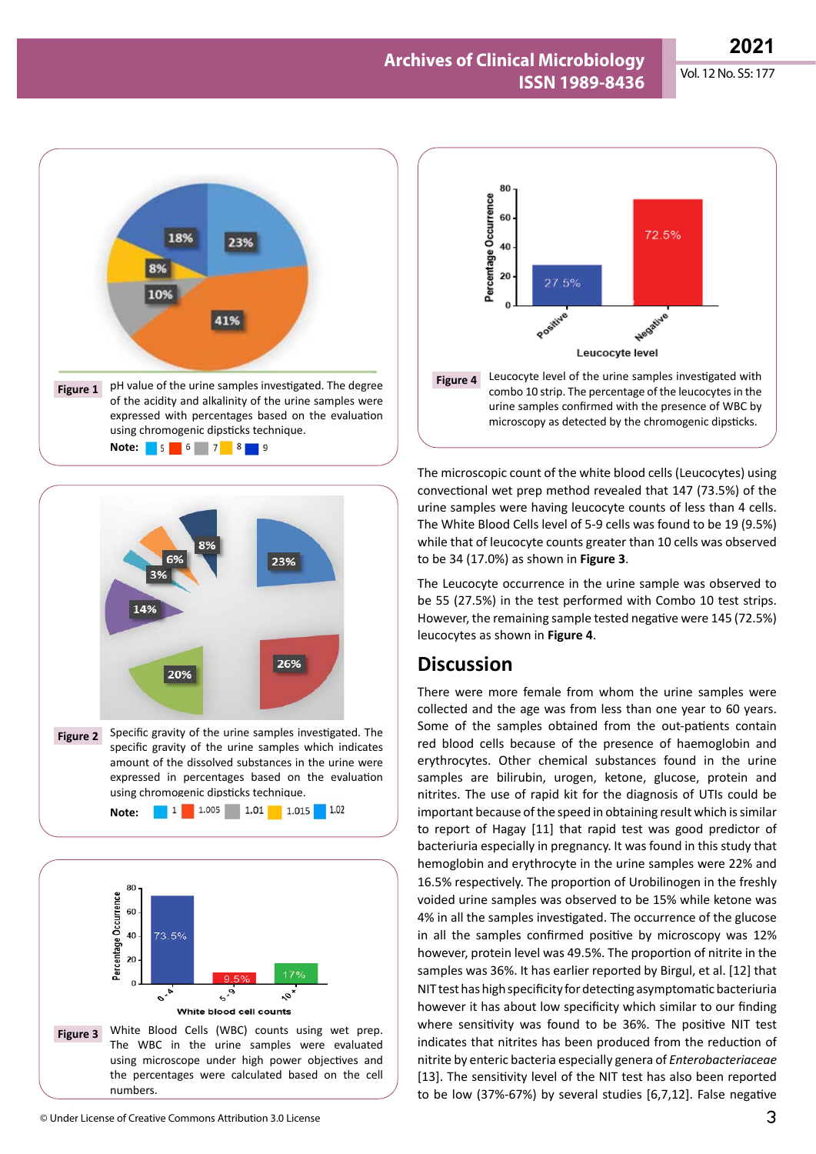**2021**

#### **Archives of Clinical Microbiology ISSN 1989-8436** Vol. 12 No. S5: 177





amount of the dissolved substances in the urine were expressed in percentages based on the evaluation using chromogenic dipsticks technique. 1 1.005 1.01 1.015 1.02 **Note:** 





The microscopic count of the white blood cells (Leucocytes) using convectional wet prep method revealed that 147 (73.5%) of the urine samples were having leucocyte counts of less than 4 cells. The White Blood Cells level of 5-9 cells was found to be 19 (9.5%) while that of leucocyte counts greater than 10 cells was observed to be 34 (17.0%) as shown in **Figure 3**.

The Leucocyte occurrence in the urine sample was observed to be 55 (27.5%) in the test performed with Combo 10 test strips. However, the remaining sample tested negative were 145 (72.5%) leucocytes as shown in **Figure 4**.

### **Discussion**

There were more female from whom the urine samples were collected and the age was from less than one year to 60 years. Some of the samples obtained from the out-patients contain red blood cells because of the presence of haemoglobin and erythrocytes. Other chemical substances found in the urine samples are bilirubin, urogen, ketone, glucose, protein and nitrites. The use of rapid kit for the diagnosis of UTIs could be important because of the speed in obtaining result which is similar to report of Hagay [11] that rapid test was good predictor of bacteriuria especially in pregnancy. It was found in this study that hemoglobin and erythrocyte in the urine samples were 22% and 16.5% respectively. The proportion of Urobilinogen in the freshly voided urine samples was observed to be 15% while ketone was 4% in all the samples investigated. The occurrence of the glucose in all the samples confirmed positive by microscopy was 12% however, protein level was 49.5%. The proportion of nitrite in the samples was 36%. It has earlier reported by Birgul, et al. [12] that NIT test has high specificity for detecting asymptomatic bacteriuria however it has about low specificity which similar to our finding where sensitivity was found to be 36%. The positive NIT test indicates that nitrites has been produced from the reduction of nitrite by enteric bacteria especially genera of *Enterobacteriaceae*  [13]. The sensitivity level of the NIT test has also been reported to be low (37%-67%) by several studies [6,7,12]. False negative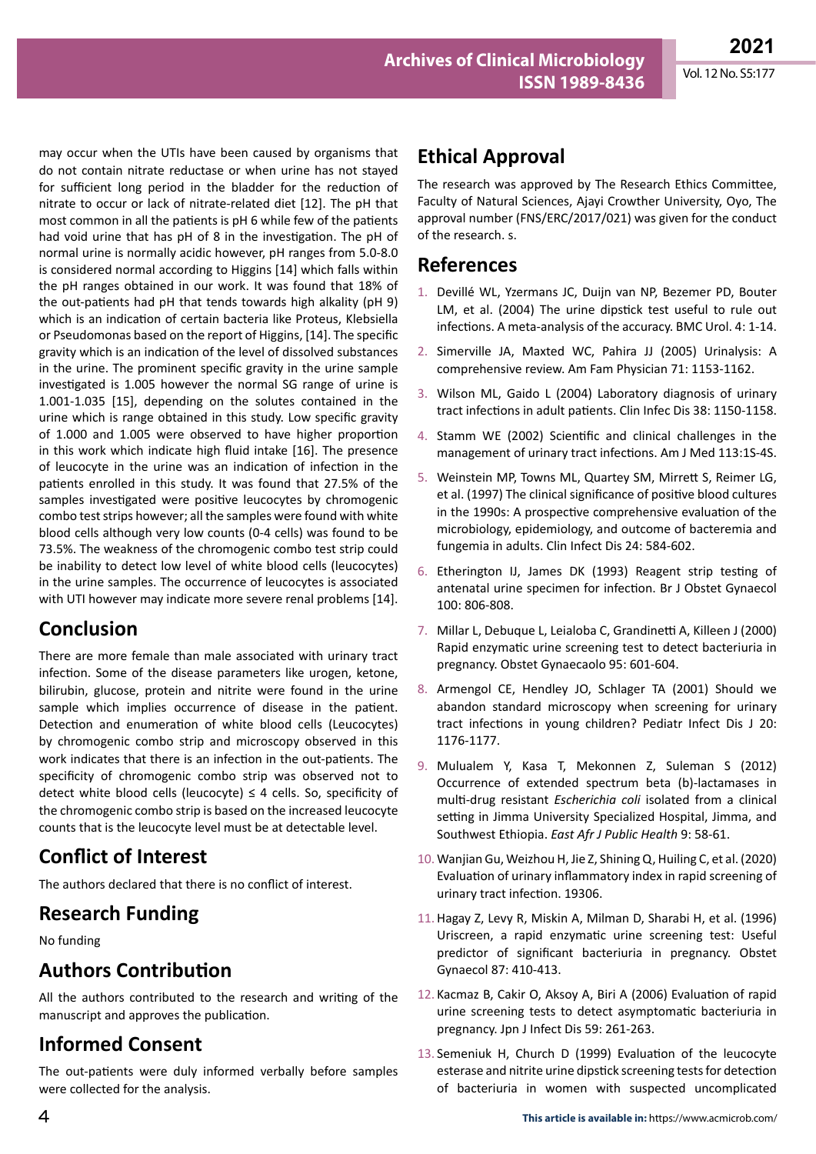may occur when the UTIs have been caused by organisms that do not contain nitrate reductase or when urine has not stayed for sufficient long period in the bladder for the reduction of nitrate to occur or lack of nitrate-related diet [12]. The pH that most common in all the patients is pH 6 while few of the patients had void urine that has pH of 8 in the investigation. The pH of normal urine is normally acidic however, pH ranges from 5.0-8.0 is considered normal according to Higgins [14] which falls within the pH ranges obtained in our work. It was found that 18% of the out-patients had pH that tends towards high alkality (pH 9) which is an indication of certain bacteria like Proteus, Klebsiella or Pseudomonas based on the report of Higgins, [14]. The specific gravity which is an indication of the level of dissolved substances in the urine. The prominent specific gravity in the urine sample investigated is 1.005 however the normal SG range of urine is 1.001-1.035 [15], depending on the solutes contained in the urine which is range obtained in this study. Low specific gravity of 1.000 and 1.005 were observed to have higher proportion in this work which indicate high fluid intake [16]. The presence of leucocyte in the urine was an indication of infection in the patients enrolled in this study. It was found that 27.5% of the samples investigated were positive leucocytes by chromogenic combo test strips however; all the samples were found with white blood cells although very low counts (0-4 cells) was found to be 73.5%. The weakness of the chromogenic combo test strip could be inability to detect low level of white blood cells (leucocytes) in the urine samples. The occurrence of leucocytes is associated with UTI however may indicate more severe renal problems [14].

## **Conclusion**

There are more female than male associated with urinary tract infection. Some of the disease parameters like urogen, ketone, bilirubin, glucose, protein and nitrite were found in the urine sample which implies occurrence of disease in the patient. Detection and enumeration of white blood cells (Leucocytes) by chromogenic combo strip and microscopy observed in this work indicates that there is an infection in the out-patients. The specificity of chromogenic combo strip was observed not to detect white blood cells (leucocyte)  $\leq$  4 cells. So, specificity of the chromogenic combo strip is based on the increased leucocyte counts that is the leucocyte level must be at detectable level.

## **Conflict of Interest**

The authors declared that there is no conflict of interest.

## **Research Funding**

No funding

## **Authors Contribution**

All the authors contributed to the research and writing of the manuscript and approves the publication.

# **Informed Consent**

The out-patients were duly informed verbally before samples were collected for the analysis.

## **Ethical Approval**

The research was approved by The Research Ethics Committee, Faculty of Natural Sciences, Ajayi Crowther University, Oyo, The approval number (FNS/ERC/2017/021) was given for the conduct of the research. s.

## **References**

- 1. [Devillé WL, Yzermans JC, Duijn van NP, Bezemer PD, Bouter](https://doi.org/10.1186/1471-2490-4-4)  [LM, et al. \(2004\) The urine dipstick test useful to rule out](https://doi.org/10.1186/1471-2490-4-4)  [infections. A meta-analysis of the accuracy. BMC Urol. 4: 1-14.](https://doi.org/10.1186/1471-2490-4-4)
- 2. [Simerville JA, Maxted WC, Pahira JJ \(2005\) Urinalysis: A](https://www.aafp.org/afp/2005/0315/p1153.html?utm_medium=email&utm_source=transaction)  [comprehensive review. Am Fam Physician 71: 1153-1162.](https://www.aafp.org/afp/2005/0315/p1153.html?utm_medium=email&utm_source=transaction)
- 3. [Wilson ML, Gaido L \(2004\) Laboratory diagnosis of urinary](https://doi.org/10.1086/383029)  [tract infections in adult patients. Clin Infec Dis 38: 1150-1158.](https://doi.org/10.1086/383029)
- 4. [Stamm WE \(2002\) Scientific and clinical challenges in the](https://doi.org/10.1016/S0002-9343(02)01053-7)  [management of urinary tract infections. Am J Med 113:1S-4S.](https://doi.org/10.1016/S0002-9343(02)01053-7)
- 5. [Weinstein MP, Towns ML, Quartey SM, Mirrett S, Reimer LG,](https://doi.org/10.1093/clind/24.4.584)  [et al. \(1997\) The clinical significance of positive blood cultures](https://doi.org/10.1093/clind/24.4.584)  [in the 1990s: A prospective comprehensive evaluation of the](https://doi.org/10.1093/clind/24.4.584)  [microbiology, epidemiology, and outcome of bacteremia and](https://doi.org/10.1093/clind/24.4.584)  [fungemia in adults. Clin Infect Dis 24: 584-602.](https://doi.org/10.1093/clind/24.4.584)
- 6. [Etherington IJ, James DK \(1993\) Reagent strip testing of](https://doi.org/10.1111/j.1471-0528.1993.tb14303.x)  [antenatal urine specimen for infection. Br J Obstet Gynaecol](https://doi.org/10.1111/j.1471-0528.1993.tb14303.x)  [100: 806-808.](https://doi.org/10.1111/j.1471-0528.1993.tb14303.x)
- 7. [Millar L, Debuque L, Leialoba C, Grandinetti A, Killeen J \(2000\)](https://doi.org/10.1016/S0029-7844(99)00597-9)  [Rapid enzymatic urine screening test to detect bacteriuria in](https://doi.org/10.1016/S0029-7844(99)00597-9)  [pregnancy. Obstet Gynaecaolo 95: 601-604.](https://doi.org/10.1016/S0029-7844(99)00597-9)
- 8. [Armengol CE, Hendley JO, Schlager TA \(2001\) Should we](https://journals.lww.com/pidj/Fulltext/2001/12000/Should_We_Abandon_Standard_Microscopy_When.18.aspx)  [abandon standard microscopy when screening for urinary](https://journals.lww.com/pidj/Fulltext/2001/12000/Should_We_Abandon_Standard_Microscopy_When.18.aspx)  [tract infections in young children? Pediatr Infect Dis J 20:](https://journals.lww.com/pidj/Fulltext/2001/12000/Should_We_Abandon_Standard_Microscopy_When.18.aspx)  [1176-1177.](https://journals.lww.com/pidj/Fulltext/2001/12000/Should_We_Abandon_Standard_Microscopy_When.18.aspx)
- 9. [Mulualem Y, Kasa T, Mekonnen Z, Suleman S \(2012\)](https://www.ajol.info/index.php/eajph/article/view/110161)  [Occurrence of extended spectrum beta \(b\)-lactamases in](https://www.ajol.info/index.php/eajph/article/view/110161)  multi-drug resistant *Escherichia coli* [isolated from a clinical](https://www.ajol.info/index.php/eajph/article/view/110161)  [setting in Jimma University Specialized Hospital, Jimma, and](https://www.ajol.info/index.php/eajph/article/view/110161)  Southwest Ethiopia. *[East Afr J Public Health](https://www.ajol.info/index.php/eajph/article/view/110161)* 9: 58-61.
- 10. [Wanjian Gu, Weizhou H, Jie Z, Shining Q, Huiling C, et al. \(2020\)](https://doi.org/10.1038/s41598-020-76352-3)  [Evaluation of urinary inflammatory index in rapid screening of](https://doi.org/10.1038/s41598-020-76352-3)  [urinary tract infection. 19306.](https://doi.org/10.1038/s41598-020-76352-3)
- 11.[Hagay Z, Levy R, Miskin A, Milman D, Sharabi H, et al. \(1996\)](https://doi.org/10.1016/0029-7844(95)00451-3)  [Uriscreen, a rapid enzymatic urine screening test: Useful](https://doi.org/10.1016/0029-7844(95)00451-3)  [predictor of significant bacteriuria in pregnancy. Obstet](https://doi.org/10.1016/0029-7844(95)00451-3)  [Gynaecol 87: 410-413.](https://doi.org/10.1016/0029-7844(95)00451-3)
- 12. [Kacmaz B, Cakir O, Aksoy A, Biri A \(2006\) Evaluation of rapid](https://www.researchgate.net/publication/6852926_Evaluation_of_rapid_urine_screening_tests_to_detect_asymptomatic_bacteriuria_in_pregnancy)  [urine screening tests to detect asymptomatic bacteriuria in](https://www.researchgate.net/publication/6852926_Evaluation_of_rapid_urine_screening_tests_to_detect_asymptomatic_bacteriuria_in_pregnancy)  [pregnancy. Jpn J Infect Dis 59: 261-263.](https://www.researchgate.net/publication/6852926_Evaluation_of_rapid_urine_screening_tests_to_detect_asymptomatic_bacteriuria_in_pregnancy)
- 13. [Semeniuk H, Church D \(1999\) Evaluation of the leucocyte](https://doi.org/10.1128/JCM.37.9.3051-3052.1999)  [esterase and nitrite urine dipstick screening tests for detection](https://doi.org/10.1128/JCM.37.9.3051-3052.1999)  [of bacteriuria in women with suspected uncomplicated](https://doi.org/10.1128/JCM.37.9.3051-3052.1999)